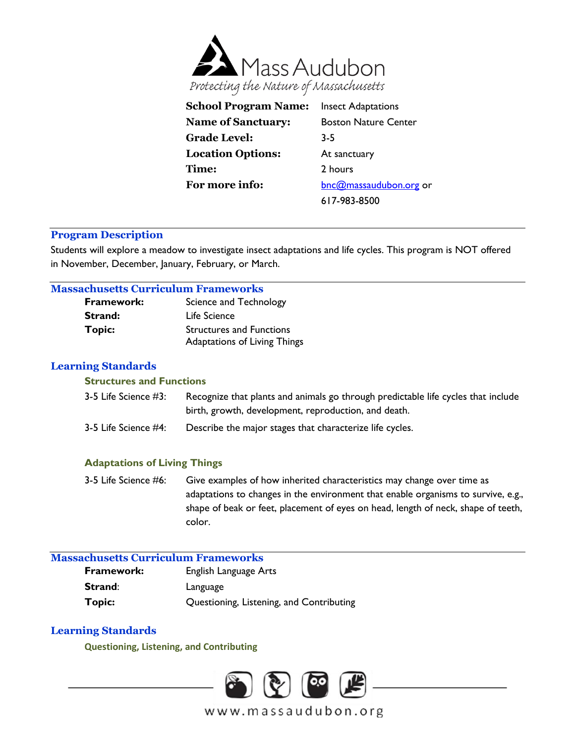

| <b>School Program Name:</b> | <b>Insect Adaptations</b>   |
|-----------------------------|-----------------------------|
| <b>Name of Sanctuary:</b>   | <b>Boston Nature Center</b> |
| <b>Grade Level:</b>         | $3-5$                       |
| <b>Location Options:</b>    | At sanctuary                |
| Time:                       | 2 hours                     |
| For more info:              | bnc@massaudubon.org or      |
|                             | 617-983-8500                |

# **Program Description**

Students will explore a meadow to investigate insect adaptations and life cycles. This program is NOT offered in November, December, January, February, or March.

### **Massachusetts Curriculum Frameworks**

| <b>Framework:</b> | Science and Technology              |
|-------------------|-------------------------------------|
| Strand:           | Life Science                        |
| <b>Topic:</b>     | <b>Structures and Functions</b>     |
|                   | <b>Adaptations of Living Things</b> |

# **Learning Standards**

### **Structures and Functions**

| 3-5 Life Science #3: | Recognize that plants and animals go through predictable life cycles that include |
|----------------------|-----------------------------------------------------------------------------------|
|                      | birth, growth, development, reproduction, and death.                              |
| 3-5 Life Science #4: | Describe the major stages that characterize life cycles.                          |

# **Adaptations of Living Things**

3-5 Life Science #6: Give examples of how inherited characteristics may change over time as adaptations to changes in the environment that enable organisms to survive, e.g., shape of beak or feet, placement of eyes on head, length of neck, shape of teeth, color.

# **Massachusetts Curriculum Frameworks**

| <b>Framework:</b> | English Language Arts                    |
|-------------------|------------------------------------------|
| Strand:           | Language                                 |
| Topic:            | Questioning, Listening, and Contributing |

# **Learning Standards**

**Questioning, Listening, and Contributing**

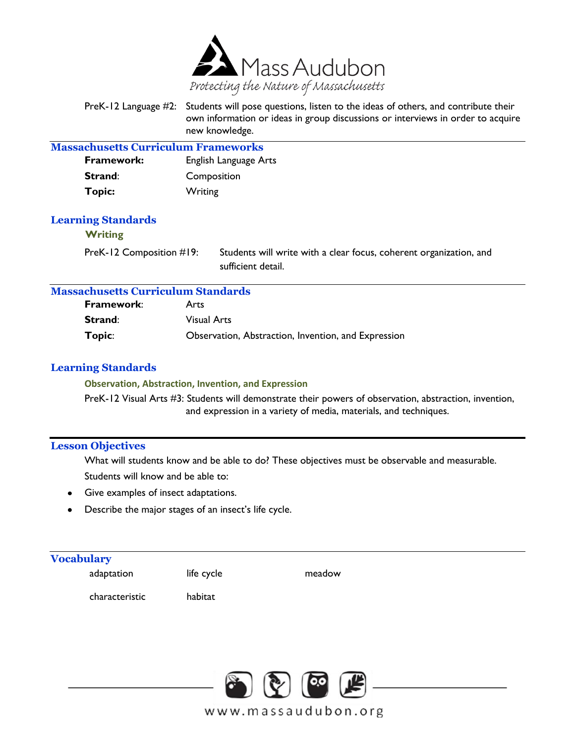

| PreK-12 Language #2: Students will pose questions, listen to the ideas of others, and contribute their |
|--------------------------------------------------------------------------------------------------------|
| own information or ideas in group discussions or interviews in order to acquire                        |
| new knowledge.                                                                                         |

| <b>Massachusetts Curriculum Frameworks</b>  |                       |  |
|---------------------------------------------|-----------------------|--|
| Framework:                                  | English Language Arts |  |
| Strand:                                     | Composition           |  |
| <b>Topic:</b>                               | Writing               |  |
| <b>Learning Standards</b><br><b>Writing</b> |                       |  |

PreK-12 Composition #19: Students will write with a clear focus, coherent organization, and sufficient detail.

# **Massachusetts Curriculum Standards**

| Framework: | Arts                                                |
|------------|-----------------------------------------------------|
| Strand:    | Visual Arts                                         |
| Topic:     | Observation, Abstraction, Invention, and Expression |

## **Learning Standards**

#### **Observation, Abstraction, Invention, and Expression**

PreK-12 Visual Arts #3: Students will demonstrate their powers of observation, abstraction, invention, and expression in a variety of media, materials, and techniques.

# **Lesson Objectives**

What will students know and be able to do? These objectives must be observable and measurable. Students will know and be able to:

- Give examples of insect adaptations.  $\bullet$
- Describe the major stages of an insect's life cycle.  $\bullet$

### **Vocabulary**

adaptation

life cycle

meadow

characteristic

habitat

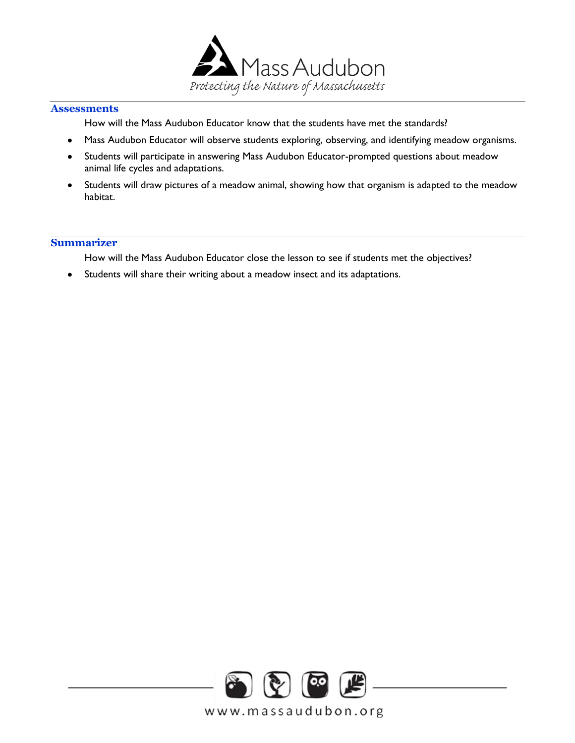

# **Assessments**

How will the Mass Audubon Educator know that the students have met the standards?

- Mass Audubon Educator will observe students exploring, observing, and identifying meadow organisms.  $\bullet$
- Students will participate in answering Mass Audubon Educator-prompted questions about meadow  $\bullet$ animal life cycles and adaptations.
- Students will draw pictures of a meadow animal, showing how that organism is adapted to the meadow  $\bullet$ habitat.

### **Summarizer**

How will the Mass Audubon Educator close the lesson to see if students met the objectives?

 $\bullet$ Students will share their writing about a meadow insect and its adaptations.